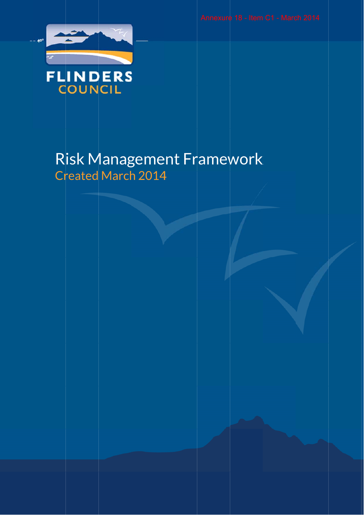

# Risk Management Framework Created March 2014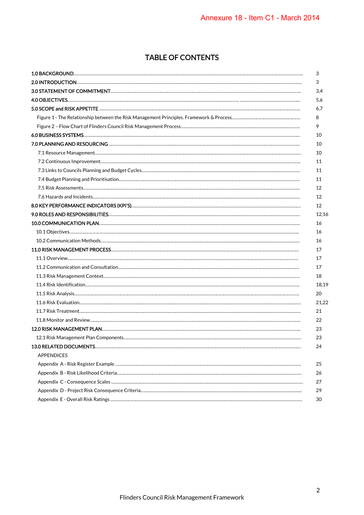# TABLE OF CONTENTS

| <b>APPENDICES</b> |  |
|-------------------|--|
|                   |  |
|                   |  |
|                   |  |
|                   |  |
|                   |  |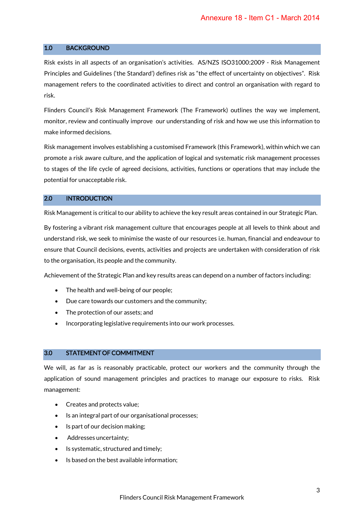#### 1.0 BACKGROUND

Risk exists in all aspects of an organisation's activities. AS/NZS ISO31000:2009 - Risk Management Principles and Guidelines ('the Standard') defines risk as "the effect of uncertainty on objectives". Risk management refers to the coordinated activities to direct and control an organisation with regard to risk.

Flinders Council's Risk Management Framework (The Framework) outlines the way we implement, monitor, review and continually improve our understanding of risk and how we use this information to make informed decisions.

Risk management involves establishing a customised Framework (this Framework), within which we can promote a risk aware culture, and the application of logical and systematic risk management processes to stages of the life cycle of agreed decisions, activities, functions or operations that may include the potential for unacceptable risk.

# 2.0 INTRODUCTION

Risk Management is critical to our ability to achieve the key result areas contained in our Strategic Plan.

By fostering a vibrant risk management culture that encourages people at all levels to think about and understand risk, we seek to minimise the waste of our resources i.e. human, financial and endeavour to ensure that Council decisions, events, activities and projects are undertaken with consideration of risk to the organisation, its people and the community.

Achievement of the Strategic Plan and key results areas can depend on a number of factors including:

- The health and well-being of our people;
- Due care towards our customers and the community;
- The protection of our assets; and
- Incorporating legislative requirements into our work processes.

#### 3.0 STATEMENT OF COMMITMENT

We will, as far as is reasonably practicable, protect our workers and the community through the application of sound management principles and practices to manage our exposure to risks. Risk management:

- Creates and protects value;
- Is an integral part of our organisational processes;
- Is part of our decision making;
- Addresses uncertainty;
- Is systematic, structured and timely;
- Is based on the best available information;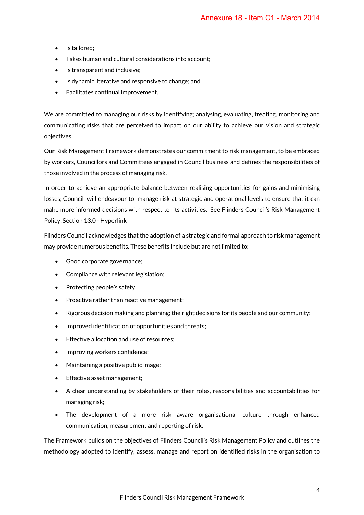- Is tailored;
- Takes human and cultural considerations into account;
- Is transparent and inclusive;
- Is dynamic, iterative and responsive to change; and
- Facilitates continual improvement.

We are committed to managing our risks by identifying; analysing, evaluating, treating, monitoring and communicating risks that are perceived to impact on our ability to achieve our vision and strategic objectives.

Our Risk Management Framework demonstrates our commitment to risk management, to be embraced by workers, Councillors and Committees engaged in Council business and defines the responsibilities of those involved in the process of managing risk.

In order to achieve an appropriate balance between realising opportunities for gains and minimising losses; Council will endeavour to manage risk at strategic and operational levels to ensure that it can make more informed decisions with respect to its activities. See Flinders Council's Risk Management Policy .Section 13.0 - Hyperlink

Flinders Council acknowledges that the adoption of a strategic and formal approach to risk management may provide numerous benefits. These benefits include but are not limited to:

- Good corporate governance;
- Compliance with relevant legislation;
- Protecting people's safety;
- Proactive rather than reactive management:
- Rigorous decision making and planning; the right decisions for its people and our community;
- Improved identification of opportunities and threats;
- Effective allocation and use of resources:
- Improving workers confidence;
- Maintaining a positive public image;
- Effective asset management;
- A clear understanding by stakeholders of their roles, responsibilities and accountabilities for managing risk;
- The development of a more risk aware organisational culture through enhanced communication, measurement and reporting of risk.

The Framework builds on the objectives of Flinders Council's Risk Management Policy and outlines the methodology adopted to identify, assess, manage and report on identified risks in the organisation to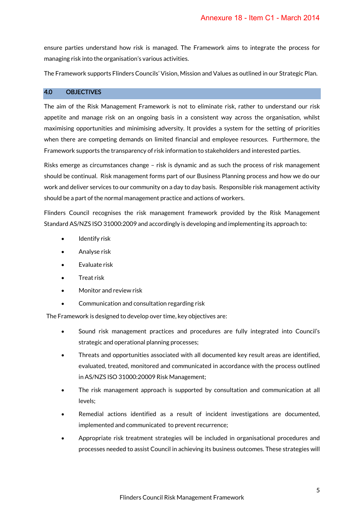ensure parties understand how risk is managed. The Framework aims to integrate the process for managing risk into the organisation's various activities.

The Framework supports Flinders Councils' Vision, Mission and Values as outlined in our Strategic Plan.

#### 4.0 OBJECTIVES

The aim of the Risk Management Framework is not to eliminate risk, rather to understand our risk appetite and manage risk on an ongoing basis in a consistent way across the organisation, whilst maximising opportunities and minimising adversity. It provides a system for the setting of priorities when there are competing demands on limited financial and employee resources. Furthermore, the Framework supports the transparency of risk information to stakeholders and interested parties.

Risks emerge as circumstances change – risk is dynamic and as such the process of risk management should be continual. Risk management forms part of our Business Planning process and how we do our work and deliver services to our community on a day to day basis. Responsible risk management activity should be a part of the normal management practice and actions of workers.

Flinders Council recognises the risk management framework provided by the Risk Management Standard AS/NZS ISO 31000:2009 and accordingly is developing and implementing its approach to:

- Identify risk
- Analyse risk
- Evaluate risk
- Treat risk
- Monitor and review risk
- Communication and consultation regarding risk

The Framework is designed to develop over time, key objectives are:

- Sound risk management practices and procedures are fully integrated into Council's strategic and operational planning processes;
- Threats and opportunities associated with all documented key result areas are identified, evaluated, treated, monitored and communicated in accordance with the process outlined in AS/NZS ISO 31000:20009 Risk Management;
- The risk management approach is supported by consultation and communication at all levels;
- Remedial actions identified as a result of incident investigations are documented, implemented and communicated to prevent recurrence;
- Appropriate risk treatment strategies will be included in organisational procedures and processes needed to assist Council in achieving its business outcomes. These strategies will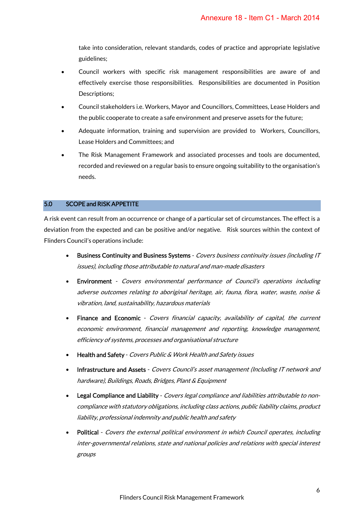take into consideration, relevant standards, codes of practice and appropriate legislative guidelines;

- Council workers with specific risk management responsibilities are aware of and effectively exercise those responsibilities. Responsibilities are documented in Position Descriptions;
- Council stakeholders i.e. Workers, Mayor and Councillors, Committees, Lease Holders and the public cooperate to create a safe environment and preserve assets for the future;
- Adequate information, training and supervision are provided to Workers, Councillors, Lease Holders and Committees; and
- The Risk Management Framework and associated processes and tools are documented, recorded and reviewed on a regular basis to ensure ongoing suitability to the organisation's needs.

# 5.0 SCOPE and RISK APPETITE

A risk event can result from an occurrence or change of a particular set of circumstances. The effect is a deviation from the expected and can be positive and/or negative. Risk sources within the context of Flinders Council's operations include:

- Business Continuity and Business Systems Covers business continuity issues (including IT issues), including those attributable to natural and man-made disasters
- Environment Covers environmental performance of Council's operations including adverse outcomes relating to aboriginal heritage, air, fauna, flora, water, waste, noise & vibration, land, sustainability, hazardous materials
- **Finance and Economic** Covers financial capacity, availability of capital, the current economic environment, financial management and reporting, knowledge management, efficiency of systems, processes and organisational structure
- Health and Safety Covers Public & Work Health and Safety issues
- Infrastructure and Assets Covers Council's asset management (Including IT network and hardware), Buildings, Roads, Bridges, Plant & Equipment
- Legal Compliance and Liability Covers legal compliance and liabilities attributable to noncompliance with statutory obligations, including class actions, public liability claims, product liability, professional indemnity and public health and safety
- Political Covers the external political environment in which Council operates, including inter-governmental relations, state and national policies and relations with special interest groups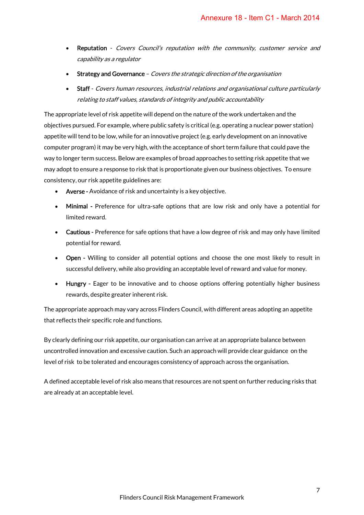- **Reputation** Covers Council's reputation with the community, customer service and capability as a regulator
- Strategy and Governance Covers the strategic direction of the organisation
- Staff Covers human resources, industrial relations and organisational culture particularly relating to staff values, standards of integrity and public accountability

The appropriate level of risk appetite will depend on the nature of the work undertaken and the objectives pursued. For example, where public safety is critical (e.g. operating a nuclear power station) appetite will tend to be low, while for an innovative project (e.g. early development on an innovative computer program) it may be very high, with the acceptance of short term failure that could pave the way to longer term success. Below are examples of broad approaches to setting risk appetite that we may adopt to ensure a response to risk that is proportionate given our business objectives. To ensure consistency, our risk appetite guidelines are:

- Averse Avoidance of risk and uncertainty is a key objective.
- Minimal Preference for ultra-safe options that are low risk and only have a potential for limited reward.
- Cautious Preference for safe options that have a low degree of risk and may only have limited potential for reward.
- Open Willing to consider all potential options and choose the one most likely to result in successful delivery, while also providing an acceptable level of reward and value for money.
- Hungry Eager to be innovative and to choose options offering potentially higher business rewards, despite greater inherent risk.

The appropriate approach may vary across Flinders Council, with different areas adopting an appetite that reflects their specific role and functions.

By clearly defining our risk appetite, our organisation can arrive at an appropriate balance between uncontrolled innovation and excessive caution. Such an approach will provide clear guidance on the level of risk to be tolerated and encourages consistency of approach across the organisation.

A defined acceptable level of risk also means that resources are not spent on further reducing risks that are already at an acceptable level.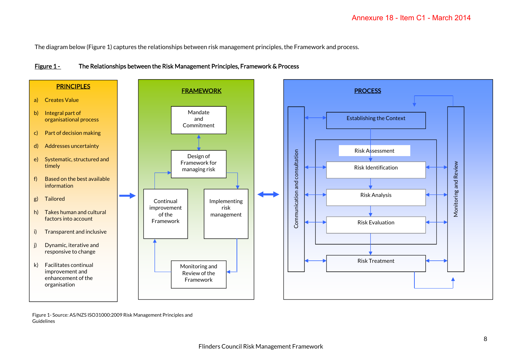The diagram below (Figure 1) captures the relationships between risk management principles, the Framework and process.

# Figure 1 - The Relationships between the Risk Management Principles, Framework & Process



Figure 1- Source: AS/NZS ISO31000:2009 Risk Management Principles and Guidelines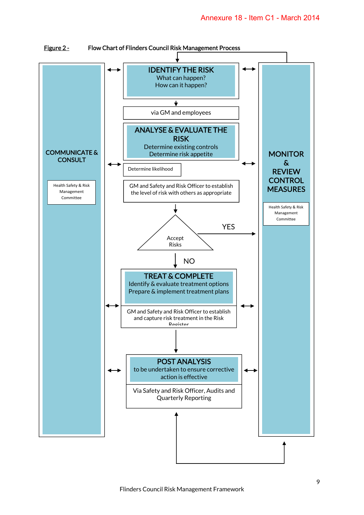

Figure 2 - Flow Chart of Flinders Council Risk Management Process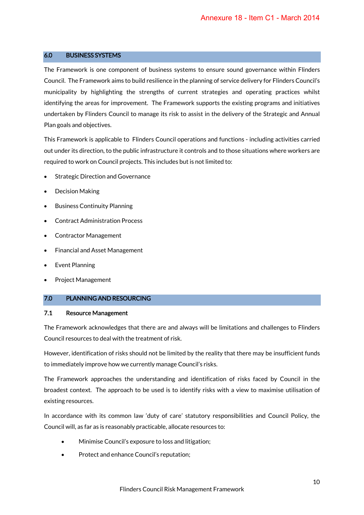#### 6.0 BUSINESS SYSTEMS

The Framework is one component of business systems to ensure sound governance within Flinders Council. The Framework aims to build resilience in the planning of service delivery for Flinders Council's municipality by highlighting the strengths of current strategies and operating practices whilst identifying the areas for improvement. The Framework supports the existing programs and initiatives undertaken by Flinders Council to manage its risk to assist in the delivery of the Strategic and Annual Plan goals and objectives.

This Framework is applicable to Flinders Council operations and functions - including activities carried out under its direction, to the public infrastructure it controls and to those situations where workers are required to work on Council projects. This includes but is not limited to:

- **Strategic Direction and Governance**
- Decision Making
- Business Continuity Planning
- Contract Administration Process
- Contractor Management
- Financial and Asset Management
- Event Planning
- Project Management

#### 7.0 PLANNING AND RESOURCING

#### 7.1 Resource Management

The Framework acknowledges that there are and always will be limitations and challenges to Flinders Council resources to deal with the treatment of risk.

However, identification of risks should not be limited by the reality that there may be insufficient funds to immediately improve how we currently manage Council's risks.

The Framework approaches the understanding and identification of risks faced by Council in the broadest context. The approach to be used is to identify risks with a view to maximise utilisation of existing resources.

In accordance with its common law 'duty of care' statutory responsibilities and Council Policy, the Council will, as far as is reasonably practicable, allocate resources to:

- Minimise Council's exposure to loss and litigation;
- Protect and enhance Council's reputation;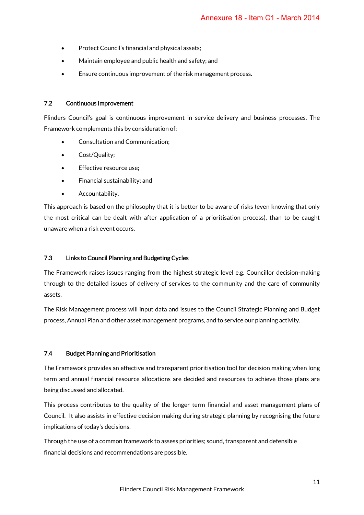- Protect Council's financial and physical assets;
- Maintain employee and public health and safety; and
- Ensure continuous improvement of the risk management process.

#### 7.2 Continuous Improvement

Flinders Council's goal is continuous improvement in service delivery and business processes. The Framework complements this by consideration of:

- Consultation and Communication;
- Cost/Quality;
- Effective resource use;
- Financial sustainability; and
- Accountability.

This approach is based on the philosophy that it is better to be aware of risks (even knowing that only the most critical can be dealt with after application of a prioritisation process), than to be caught unaware when a risk event occurs.

## 7.3 Links to Council Planning and Budgeting Cycles

The Framework raises issues ranging from the highest strategic level e.g. Councillor decision-making through to the detailed issues of delivery of services to the community and the care of community assets.

The Risk Management process will input data and issues to the Council Strategic Planning and Budget process, Annual Plan and other asset management programs, and to service our planning activity.

#### 7.4 Budget Planning and Prioritisation

The Framework provides an effective and transparent prioritisation tool for decision making when long term and annual financial resource allocations are decided and resources to achieve those plans are being discussed and allocated.

This process contributes to the quality of the longer term financial and asset management plans of Council. It also assists in effective decision making during strategic planning by recognising the future implications of today's decisions.

Through the use of a common framework to assess priorities; sound, transparent and defensible financial decisions and recommendations are possible.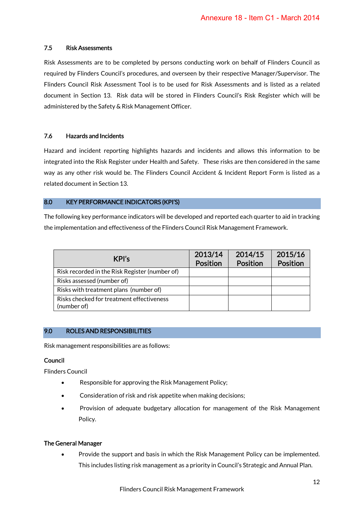# 7.5 Risk Assessments

Risk Assessments are to be completed by persons conducting work on behalf of Flinders Council as required by Flinders Council's procedures, and overseen by their respective Manager/Supervisor. The Flinders Council Risk Assessment Tool is to be used for Risk Assessments and is listed as a related document in Section 13. Risk data will be stored in Flinders Council's Risk Register which will be administered by the Safety & Risk Management Officer.

# 7.6 Hazards and Incidents

Hazard and incident reporting highlights hazards and incidents and allows this information to be integrated into the Risk Register under Health and Safety. These risks are then considered in the same way as any other risk would be. The Flinders Council Accident & Incident Report Form is listed as a related document in Section 13.

# 8.0 KEY PERFORMANCE INDICATORS (KPI'S)

The following key performance indicators will be developed and reported each quarter to aid in tracking the implementation and effectiveness of the Flinders Council Risk Management Framework.

| KPI's                                                    | 2013/14<br><b>Position</b> | 2014/15<br><b>Position</b> | 2015/16<br>Position |
|----------------------------------------------------------|----------------------------|----------------------------|---------------------|
| Risk recorded in the Risk Register (number of)           |                            |                            |                     |
| Risks assessed (number of)                               |                            |                            |                     |
| Risks with treatment plans (number of)                   |                            |                            |                     |
| Risks checked for treatment effectiveness<br>(number of) |                            |                            |                     |

# 9.0 ROLES AND RESPONSIBILITIES

Risk management responsibilities are as follows:

#### Council

Flinders Council

- Responsible for approving the Risk Management Policy;
- Consideration of risk and risk appetite when making decisions;
- Provision of adequate budgetary allocation for management of the Risk Management Policy.

#### The General Manager

• Provide the support and basis in which the Risk Management Policy can be implemented. This includes listing risk management as a priority in Council's Strategic and Annual Plan.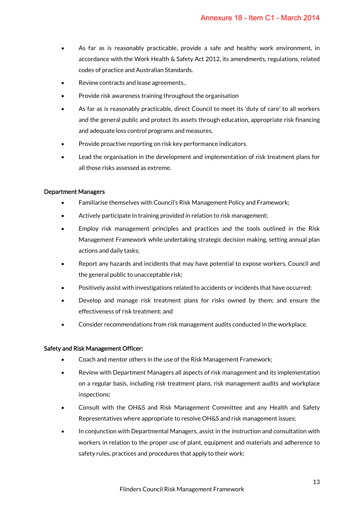- As far as is reasonably practicable, provide a safe and healthy work environment, in accordance with the Work Health & Safety Act 2012, its amendments, regulations, related codes of practice and Australian Standards.
- Review contracts and lease agreements..
- Provide risk awareness training throughout the organisation
- As far as is reasonably practicable, direct Council to meet its 'duty of care' to all workers and the general public and protect its assets through education, appropriate risk financing and adequate loss control programs and measures.
- Provide proactive reporting on risk key performance indicators.
- Lead the organisation in the development and implementation of risk treatment plans for all those risks assessed as extreme.

#### Department Managers

- Familiarise themselves with Council's Risk Management Policy and Framework;
- Actively participate in training provided in relation to risk management;
- Employ risk management principles and practices and the tools outlined in the Risk Management Framework while undertaking strategic decision making, setting annual plan actions and daily tasks;
- Report any hazards and incidents that may have potential to expose workers, Council and the general public to unacceptable risk;
- Positively assist with investigations related to accidents or incidents that have occurred;
- Develop and manage risk treatment plans for risks owned by them; and ensure the effectiveness of risk treatment; and
- Consider recommendations from risk management audits conducted in the workplace.

#### Safety and Risk Management Officer:

- Coach and mentor others in the use of the Risk Management Framework;
- Review with Department Managers all aspects of risk management and its implementation on a regular basis, including risk treatment plans, risk management audits and workplace inspections;
- Consult with the OH&S and Risk Management Committee and any Health and Safety Representatives where appropriate to resolve OH&S and risk management issues;
- In conjunction with Departmental Managers, assist in the instruction and consultation with workers in relation to the proper use of plant, equipment and materials and adherence to safety rules, practices and procedures that apply to their work;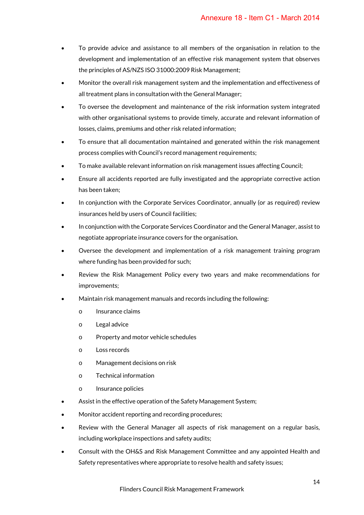- To provide advice and assistance to all members of the organisation in relation to the development and implementation of an effective risk management system that observes the principles of AS/NZS ISO 31000:2009 Risk Management;
- Monitor the overall risk management system and the implementation and effectiveness of all treatment plans in consultation with the General Manager;
- To oversee the development and maintenance of the risk information system integrated with other organisational systems to provide timely, accurate and relevant information of losses, claims, premiums and other risk related information;
- To ensure that all documentation maintained and generated within the risk management process complies with Council's record management requirements;
- To make available relevant information on risk management issues affecting Council;
- Ensure all accidents reported are fully investigated and the appropriate corrective action has been taken;
- In conjunction with the Corporate Services Coordinator, annually (or as required) review insurances held by users of Council facilities;
- In conjunction with the Corporate Services Coordinator and the General Manager, assist to negotiate appropriate insurance covers for the organisation.
- Oversee the development and implementation of a risk management training program where funding has been provided for such;
- Review the Risk Management Policy every two years and make recommendations for improvements;
- Maintain risk management manuals and records including the following:
	- o Insurance claims
	- o Legal advice
	- o Property and motor vehicle schedules
	- o Loss records
	- o Management decisions on risk
	- o Technical information
	- o Insurance policies
- Assist in the effective operation of the Safety Management System:
- Monitor accident reporting and recording procedures;
- Review with the General Manager all aspects of risk management on a regular basis, including workplace inspections and safety audits;
- Consult with the OH&S and Risk Management Committee and any appointed Health and Safety representatives where appropriate to resolve health and safety issues;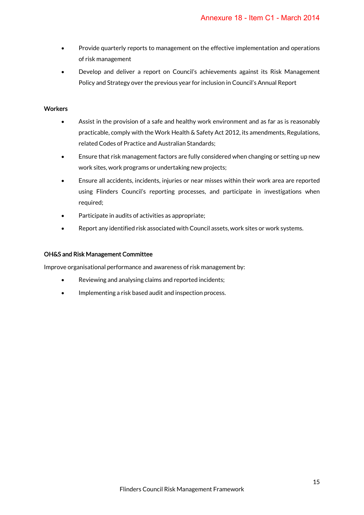- Provide quarterly reports to management on the effective implementation and operations of risk management
- Develop and deliver a report on Council's achievements against its Risk Management Policy and Strategy over the previous year for inclusion in Council's Annual Report

# **Workers**

- Assist in the provision of a safe and healthy work environment and as far as is reasonably practicable, comply with the Work Health & Safety Act 2012, its amendments, Regulations, related Codes of Practice and Australian Standards;
- Ensure that risk management factors are fully considered when changing or setting up new work sites, work programs or undertaking new projects;
- Ensure all accidents, incidents, injuries or near misses within their work area are reported using Flinders Council's reporting processes, and participate in investigations when required;
- Participate in audits of activities as appropriate;
- Report any identified risk associated with Council assets, work sites or work systems.

## OH&S and Risk Management Committee

Improve organisational performance and awareness of risk management by:

- Reviewing and analysing claims and reported incidents;
- Implementing a risk based audit and inspection process.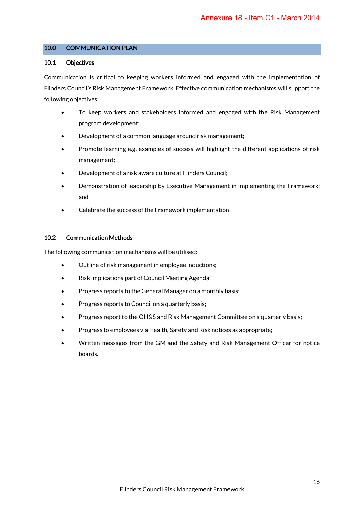## 10.0 COMMUNICATION PLAN

#### 10.1 Objectives

Communication is critical to keeping workers informed and engaged with the implementation of Flinders Council's Risk Management Framework. Effective communication mechanisms will support the following objectives:

- To keep workers and stakeholders informed and engaged with the Risk Management program development;
- Development of a common language around risk management;
- Promote learning e.g. examples of success will highlight the different applications of risk management;
- Development of a risk aware culture at Flinders Council;
- Demonstration of leadership by Executive Management in implementing the Framework; and
- Celebrate the success of the Framework implementation.

# 10.2 Communication Methods

The following communication mechanisms will be utilised:

- Outline of risk management in employee inductions;
- Risk implications part of Council Meeting Agenda;
- Progress reports to the General Manager on a monthly basis;
- Progress reports to Council on a quarterly basis;
- Progress report to the OH&S and Risk Management Committee on a quarterly basis;
- Progress to employees via Health, Safety and Risk notices as appropriate;
- Written messages from the GM and the Safety and Risk Management Officer for notice boards.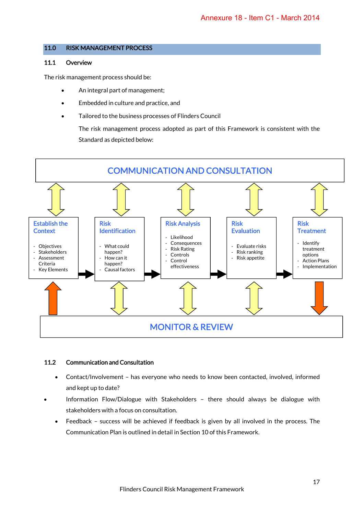#### 11.0 RISK MANAGEMENT PROCESS

#### 11.1 Overview

The risk management process should be:

- An integral part of management;
- Embedded in culture and practice, and
- Tailored to the business processes of Flinders Council

The risk management process adopted as part of this Framework is consistent with the Standard as depicted below:



# 11.2 Communication and Consultation

- Contact/Involvement has everyone who needs to know been contacted, involved, informed and kept up to date?
- Information Flow/Dialogue with Stakeholders there should always be dialogue with stakeholders with a focus on consultation.
	- Feedback success will be achieved if feedback is given by all involved in the process. The Communication Plan is outlined in detail in Section 10 of this Framework.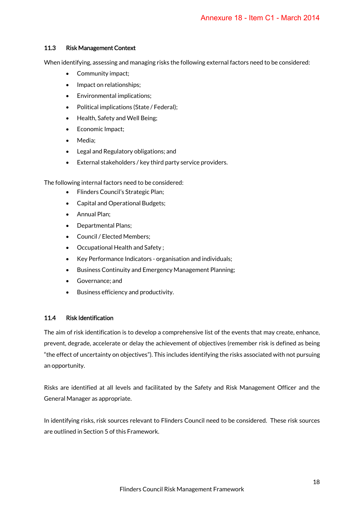## 11.3 Risk Management Context

When identifying, assessing and managing risks the following external factors need to be considered:

- Community impact;
- Impact on relationships;
- Environmental implications;
- Political implications (State / Federal);
- Health, Safety and Well Being;
- Economic Impact;
- Media;
- Legal and Regulatory obligations; and
- External stakeholders / key third party service providers.

The following internal factors need to be considered:

- Flinders Council's Strategic Plan;
- Capital and Operational Budgets;
- Annual Plan;
- Departmental Plans;
- Council / Elected Members;
- Occupational Health and Safety ;
- Key Performance Indicators organisation and individuals;
- Business Continuity and Emergency Management Planning;
- Governance; and
- Business efficiency and productivity.

#### 11.4 Risk Identification

The aim of risk identification is to develop a comprehensive list of the events that may create, enhance, prevent, degrade, accelerate or delay the achievement of objectives (remember risk is defined as being "the effect of uncertainty on objectives"). This includes identifying the risks associated with not pursuing an opportunity.

Risks are identified at all levels and facilitated by the Safety and Risk Management Officer and the General Manager as appropriate.

In identifying risks, risk sources relevant to Flinders Council need to be considered. These risk sources are outlined in Section 5 of this Framework.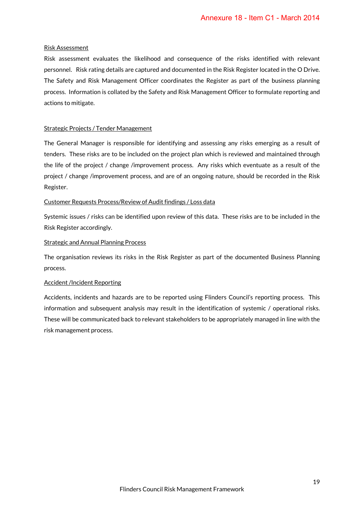#### Risk Assessment

Risk assessment evaluates the likelihood and consequence of the risks identified with relevant personnel. Risk rating details are captured and documented in the Risk Register located in the O Drive. The Safety and Risk Management Officer coordinates the Register as part of the business planning process. Information is collated by the Safety and Risk Management Officer to formulate reporting and actions to mitigate.

#### Strategic Projects / Tender Management

The General Manager is responsible for identifying and assessing any risks emerging as a result of tenders. These risks are to be included on the project plan which is reviewed and maintained through the life of the project / change /improvement process. Any risks which eventuate as a result of the project / change /improvement process, and are of an ongoing nature, should be recorded in the Risk Register.

#### Customer Requests Process/Review of Audit findings / Loss data

Systemic issues / risks can be identified upon review of this data. These risks are to be included in the Risk Register accordingly.

#### Strategic and Annual Planning Process

The organisation reviews its risks in the Risk Register as part of the documented Business Planning process.

#### Accident /Incident Reporting

Accidents, incidents and hazards are to be reported using Flinders Council's reporting process. This information and subsequent analysis may result in the identification of systemic / operational risks. These will be communicated back to relevant stakeholders to be appropriately managed in line with the risk management process.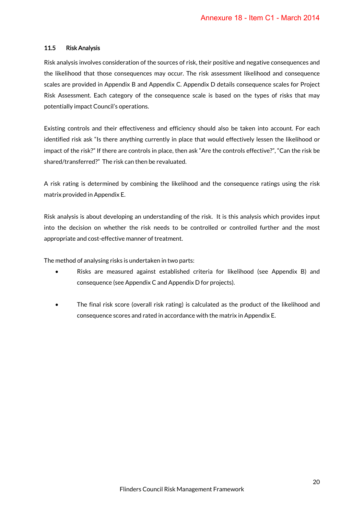#### 11.5 Risk Analysis

Risk analysis involves consideration of the sources of risk, their positive and negative consequences and the likelihood that those consequences may occur. The risk assessment likelihood and consequence scales are provided in Appendix B and Appendix C. Appendix D details consequence scales for Project Risk Assessment. Each category of the consequence scale is based on the types of risks that may potentially impact Council's operations.

Existing controls and their effectiveness and efficiency should also be taken into account. For each identified risk ask "Is there anything currently in place that would effectively lessen the likelihood or impact of the risk?" If there are controls in place, then ask "Are the controls effective?", "Can the risk be shared/transferred?" The risk can then be revaluated.

A risk rating is determined by combining the likelihood and the consequence ratings using the risk matrix provided in Appendix E.

Risk analysis is about developing an understanding of the risk. It is this analysis which provides input into the decision on whether the risk needs to be controlled or controlled further and the most appropriate and cost-effective manner of treatment.

The method of analysing risks is undertaken in two parts:

- Risks are measured against established criteria for likelihood (see Appendix B) and consequence (see Appendix C and Appendix D for projects).
- The final risk score (overall risk rating) is calculated as the product of the likelihood and consequence scores and rated in accordance with the matrix in Appendix E.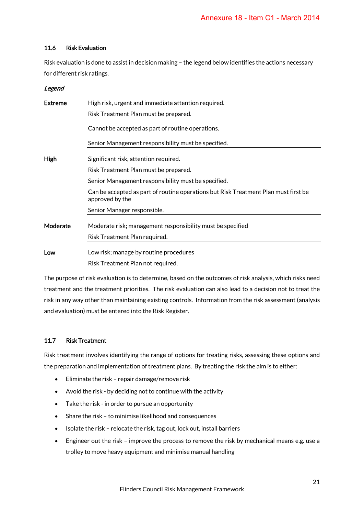# 11.6 Risk Evaluation

Risk evaluation is done to assist in decision making – the legend below identifies the actions necessary for different risk ratings.

# Legend

| <b>Extreme</b> | High risk, urgent and immediate attention required.                                                    |  |  |  |  |  |  |
|----------------|--------------------------------------------------------------------------------------------------------|--|--|--|--|--|--|
|                | Risk Treatment Plan must be prepared.                                                                  |  |  |  |  |  |  |
|                | Cannot be accepted as part of routine operations.                                                      |  |  |  |  |  |  |
|                | Senior Management responsibility must be specified.                                                    |  |  |  |  |  |  |
| High           | Significant risk, attention required.                                                                  |  |  |  |  |  |  |
|                | Risk Treatment Plan must be prepared.                                                                  |  |  |  |  |  |  |
|                | Senior Management responsibility must be specified.                                                    |  |  |  |  |  |  |
|                | Can be accepted as part of routine operations but Risk Treatment Plan must first be<br>approved by the |  |  |  |  |  |  |
|                | Senior Manager responsible.                                                                            |  |  |  |  |  |  |
| Moderate       | Moderate risk; management responsibility must be specified                                             |  |  |  |  |  |  |
|                | Risk Treatment Plan required.                                                                          |  |  |  |  |  |  |
| Low            | Low risk; manage by routine procedures                                                                 |  |  |  |  |  |  |
|                | Risk Treatment Plan not required.                                                                      |  |  |  |  |  |  |

The purpose of risk evaluation is to determine, based on the outcomes of risk analysis, which risks need treatment and the treatment priorities. The risk evaluation can also lead to a decision not to treat the risk in any way other than maintaining existing controls. Information from the risk assessment (analysis and evaluation) must be entered into the Risk Register.

# 11.7 Risk Treatment

Risk treatment involves identifying the range of options for treating risks, assessing these options and the preparation and implementation of treatment plans. By treating the risk the aim is to either:

- Eliminate the risk repair damage/remove risk
- Avoid the risk by deciding not to continue with the activity
- Take the risk in order to pursue an opportunity
- Share the risk to minimise likelihood and consequences
- Isolate the risk relocate the risk, tag out, lock out, install barriers
- Engineer out the risk improve the process to remove the risk by mechanical means e.g. use a trolley to move heavy equipment and minimise manual handling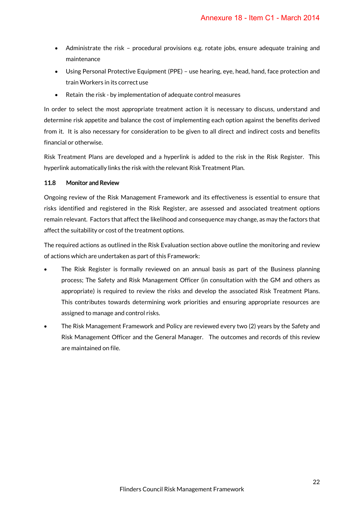- Administrate the risk procedural provisions e.g. rotate jobs, ensure adequate training and maintenance
- Using Personal Protective Equipment (PPE) use hearing, eye, head, hand, face protection and train Workers in its correct use
- Retain the risk by implementation of adequate control measures

In order to select the most appropriate treatment action it is necessary to discuss, understand and determine risk appetite and balance the cost of implementing each option against the benefits derived from it. It is also necessary for consideration to be given to all direct and indirect costs and benefits financial or otherwise.

Risk Treatment Plans are developed and a hyperlink is added to the risk in the Risk Register. This hyperlink automatically links the risk with the relevant Risk Treatment Plan.

# 11.8 Monitor and Review

Ongoing review of the Risk Management Framework and its effectiveness is essential to ensure that risks identified and registered in the Risk Register, are assessed and associated treatment options remain relevant. Factors that affect the likelihood and consequence may change, as may the factors that affect the suitability or cost of the treatment options.

The required actions as outlined in the Risk Evaluation section above outline the monitoring and review of actions which are undertaken as part of this Framework:

- The Risk Register is formally reviewed on an annual basis as part of the Business planning process; The Safety and Risk Management Officer (in consultation with the GM and others as appropriate) is required to review the risks and develop the associated Risk Treatment Plans. This contributes towards determining work priorities and ensuring appropriate resources are assigned to manage and control risks.
- The Risk Management Framework and Policy are reviewed every two (2) years by the Safety and Risk Management Officer and the General Manager. The outcomes and records of this review are maintained on file.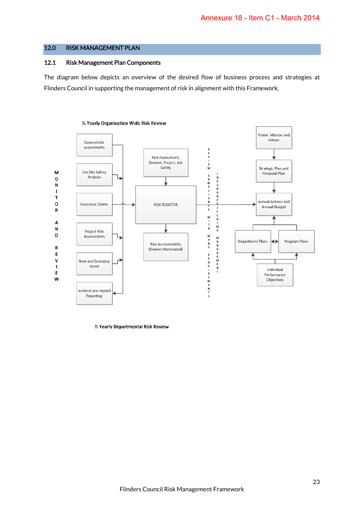# 12.0 RISK MANAGEMENT PLAN

#### 12.1 Risk Management Plan Components

The diagram below depicts an overview of the desired flow of business process and strategies at Flinders Council in supporting the management of risk in alignment with this Framework.



1/2 Yearly Departmental Risk Review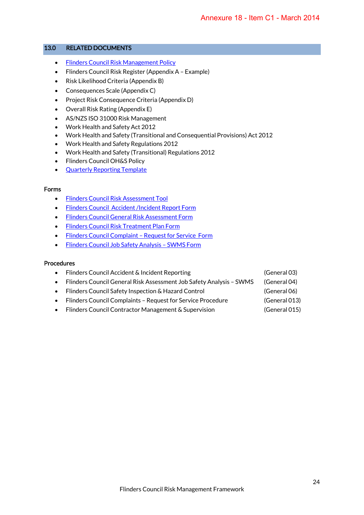#### 13.0 RELATED DOCUMENTS

- Flinders Council Risk Management Policy
- Flinders Council Risk Register (Appendix A Example)
- Risk Likelihood Criteria (Appendix B)
- Consequences Scale (Appendix C)
- Project Risk Consequence Criteria (Appendix D)
- Overall Risk Rating (Appendix E)
- AS/NZS ISO 31000 Risk Management
- Work Health and Safety Act 2012
- Work Health and Safety (Transitional and Consequential Provisions) Act 2012
- Work Health and Safety Regulations 2012
- Work Health and Safety (Transitional) Regulations 2012
- Flinders Council OH&S Policy
- **Quarterly Reporting Template**

#### Forms

- Flinders Council Risk Assessment Tool
- Flinders Council Accident /Incident Report Form
- Flinders Council General Risk Assessment Form
- Flinders Council Risk Treatment Plan Form
- Flinders Council Complaint Request for Service Form
- Flinders Council Job Safety Analysis SWMS Form

#### Procedures

- Flinders Council Accident & Incident Reporting (General 03)
- Flinders Council General Risk Assessment Job Safety Analysis SWMS (General 04)
- Flinders Council Safety Inspection & Hazard Control (General 06)
- Flinders Council Complaints Request for Service Procedure (General 013)
- Flinders Council Contractor Management & Supervision (General 015)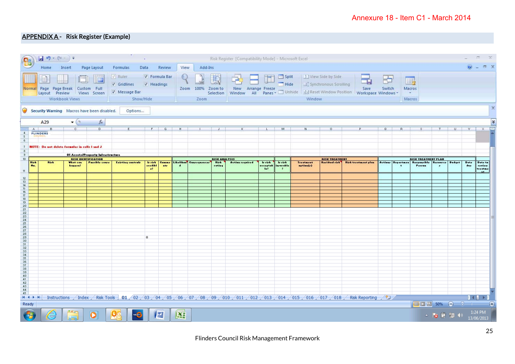# APPENDIXA - Risk Register (Example)

|                     |                                                        |                | $\frac{1}{2}$ ii) $\cdot$ (2 $\cdot$ ) $\cdot$       |              |                                                                 |                                                |                 |                                             |                          |         |                        |                       | Risk Register [Compatibility Mode] - Microsoft Excel |                                       |                             |                        |                                                |                                                                                                                                                     |              |                          |                            |                 |               |               |                                                          |
|---------------------|--------------------------------------------------------|----------------|------------------------------------------------------|--------------|-----------------------------------------------------------------|------------------------------------------------|-----------------|---------------------------------------------|--------------------------|---------|------------------------|-----------------------|------------------------------------------------------|---------------------------------------|-----------------------------|------------------------|------------------------------------------------|-----------------------------------------------------------------------------------------------------------------------------------------------------|--------------|--------------------------|----------------------------|-----------------|---------------|---------------|----------------------------------------------------------|
|                     |                                                        | Home           | Insert                                               |              | Page Layout                                                     | Formulas                                       | Data            |                                             | Review                   | View    | Add-Ins                |                       |                                                      |                                       |                             |                        |                                                |                                                                                                                                                     |              |                          |                            |                 |               |               | $\odot$ - $\Box$ x                                       |
|                     |                                                        | Layout Preview | Normal Page Page Break Custom Full<br>Workbook Views |              | F<br>Views Screen                                               | $\sqrt{Ruler}$<br>V Gridlines<br>V Message Bar | Show/Hide       | V Formula Bar<br>V Headings                 |                          |         | Zoom 100%<br>Zoom      | Zoom to<br>Selection  | Ē,<br>New Arrange Freeze                             | ZH                                    | $S$ plit<br>Hide            | Window                 | 1   View Side by Side<br>Synchronous Scrolling | $\overline{\phantom{a}}$<br>Save<br>Window All Panes + Unhide   13 Reset Window Position   Workspace Windows                                        | ٢ò<br>Switch | II.<br>Macros            | $\mathcal{H}_i$<br>Macros  |                 |               |               |                                                          |
|                     | Security Warning Macros have been disabled.<br>Options |                |                                                      |              |                                                                 |                                                |                 |                                             |                          |         |                        |                       |                                                      |                                       |                             |                        |                                                |                                                                                                                                                     |              |                          |                            |                 |               |               |                                                          |
|                     |                                                        | A29            |                                                      | $ (3)$       | $f_x$                                                           |                                                |                 |                                             |                          |         |                        |                       |                                                      |                                       |                             |                        |                                                |                                                                                                                                                     |              |                          |                            |                 |               |               | <b>v</b>                                                 |
| 4                   | A<br><b>FLINDERS</b>                                   | B              |                                                      | $\mathbf{C}$ | $\overline{D}$                                                  |                                                |                 | F                                           | $\mathbf{G}$             | H       |                        | J                     |                                                      | $\mathbf{L}$                          | M                           | N                      | $\circ$                                        | P.                                                                                                                                                  | Q            | R                        | $\mathcal{Z}$              | T               |               | $U = -V = -X$ | ⊏                                                        |
| 5<br>6              |                                                        |                |                                                      |              |                                                                 |                                                |                 |                                             |                          |         |                        |                       |                                                      |                                       |                             |                        |                                                |                                                                                                                                                     |              |                          |                            |                 |               |               |                                                          |
| 7 <sup>2</sup><br>8 |                                                        |                | <b>NOTE:</b> Do not delete formulas in cells I and J |              |                                                                 |                                                |                 |                                             |                          |         |                        |                       |                                                      |                                       |                             |                        |                                                |                                                                                                                                                     |              |                          |                            |                 |               |               |                                                          |
| $\theta$<br>10      |                                                        |                |                                                      |              | 01 Assets/Property Infrastructure<br><b>RISK IDENTIFICATION</b> |                                                |                 |                                             |                          |         |                        | <b>RISK ANALTSIS</b>  |                                                      |                                       |                             |                        | <b>RISK TREATMENT</b>                          |                                                                                                                                                     |              |                          | <b>RISK TREATMENT PLAN</b> |                 |               |               |                                                          |
|                     | <b>Rick</b><br>Hu.                                     | <b>Rirk</b>    | What can<br>hoppoo?                                  |              | <b>Parrible cours</b>                                           | <b>Existing controls</b>                       |                 | <b>Le visit</b><br>credibl<br>$\mathcal{A}$ | Commo<br>$\mathbf{a}$ by | $\cdot$ | Likelihun Cunrequencer | <b>Rirk</b><br>rating | Action required                                      | <b>brick</b><br><b>Audions</b><br>142 | <b>Le virk</b><br>inrerable | Treatment<br>sptisa(r) | <b>Revidual risk</b>                           | Rick treatment plan                                                                                                                                 |              | <b>Actions Departmen</b> | Responsible<br>Perrus      | <b>Bernurce</b> | <b>Budget</b> | Date:<br>due  | Data to<br>raviau<br>reatme                              |
| 11                  |                                                        |                |                                                      |              |                                                                 |                                                |                 |                                             |                          |         |                        |                       |                                                      |                                       |                             |                        |                                                |                                                                                                                                                     |              |                          |                            |                 |               |               | $\mathbf{r}$                                             |
| 12<br>13<br>14      |                                                        |                |                                                      |              |                                                                 |                                                |                 |                                             |                          |         |                        |                       |                                                      |                                       |                             |                        |                                                |                                                                                                                                                     |              |                          |                            |                 |               |               |                                                          |
| 15<br>16            |                                                        |                |                                                      |              |                                                                 |                                                |                 |                                             |                          |         |                        |                       |                                                      |                                       |                             |                        |                                                |                                                                                                                                                     |              |                          |                            |                 |               |               |                                                          |
| 17                  |                                                        |                |                                                      |              |                                                                 |                                                |                 |                                             |                          |         |                        |                       |                                                      |                                       |                             |                        |                                                |                                                                                                                                                     |              |                          |                            |                 |               |               |                                                          |
|                     |                                                        |                |                                                      |              |                                                                 |                                                |                 |                                             |                          |         |                        |                       |                                                      |                                       |                             |                        |                                                |                                                                                                                                                     |              |                          |                            |                 |               |               |                                                          |
|                     |                                                        |                |                                                      |              |                                                                 |                                                |                 |                                             |                          |         |                        |                       |                                                      |                                       |                             |                        |                                                |                                                                                                                                                     |              |                          |                            |                 |               |               |                                                          |
|                     |                                                        |                |                                                      |              |                                                                 |                                                |                 |                                             |                          |         |                        |                       |                                                      |                                       |                             |                        |                                                |                                                                                                                                                     |              |                          |                            |                 |               |               |                                                          |
|                     |                                                        |                |                                                      |              |                                                                 |                                                |                 |                                             |                          |         |                        |                       |                                                      |                                       |                             |                        |                                                |                                                                                                                                                     |              |                          |                            |                 |               |               |                                                          |
|                     |                                                        |                |                                                      |              |                                                                 |                                                | $\mathbb Q$     |                                             |                          |         |                        |                       |                                                      |                                       |                             |                        |                                                |                                                                                                                                                     |              |                          |                            |                 |               |               |                                                          |
|                     |                                                        |                |                                                      |              |                                                                 |                                                |                 |                                             |                          |         |                        |                       |                                                      |                                       |                             |                        |                                                |                                                                                                                                                     |              |                          |                            |                 |               |               |                                                          |
|                     |                                                        |                |                                                      |              |                                                                 |                                                |                 |                                             |                          |         |                        |                       |                                                      |                                       |                             |                        |                                                |                                                                                                                                                     |              |                          |                            |                 |               |               |                                                          |
|                     |                                                        |                |                                                      |              |                                                                 |                                                |                 |                                             |                          |         |                        |                       |                                                      |                                       |                             |                        |                                                |                                                                                                                                                     |              |                          |                            |                 |               |               |                                                          |
|                     |                                                        |                |                                                      |              |                                                                 |                                                |                 |                                             |                          |         |                        |                       |                                                      |                                       |                             |                        |                                                |                                                                                                                                                     |              |                          |                            |                 |               |               |                                                          |
|                     |                                                        |                |                                                      |              |                                                                 |                                                |                 |                                             |                          |         |                        |                       |                                                      |                                       |                             |                        |                                                |                                                                                                                                                     |              |                          |                            |                 |               |               |                                                          |
|                     |                                                        |                |                                                      |              |                                                                 |                                                |                 |                                             |                          |         |                        |                       |                                                      |                                       |                             |                        |                                                |                                                                                                                                                     |              |                          |                            |                 |               |               |                                                          |
| 45<br>$H$ 4 $H$ $H$ |                                                        |                |                                                      |              |                                                                 |                                                |                 |                                             |                          |         |                        |                       |                                                      |                                       |                             |                        |                                                | Instructions / Index / Risk Tools 01 / 02 / 03 / 04 / 05 / 06 / 07 / 08 / 09 / 010 / 011 / 012 / 013 / 014 / 015 / 016 / 017 / 018 / Risk Reporting | ノヤコ          |                          |                            |                 |               |               |                                                          |
| Ready               |                                                        |                |                                                      |              |                                                                 |                                                |                 |                                             |                          |         |                        |                       |                                                      |                                       |                             |                        |                                                |                                                                                                                                                     |              |                          | ■□凹 50% ⊝ - □---           |                 |               |               | $\blacksquare$ $\blacksquare$ $\blacksquare$<br>$\Theta$ |
|                     |                                                        | 은              | لتظنآ                                                |              | 0                                                               |                                                | HI <sub>O</sub> | 些                                           |                          | 匥       |                        |                       |                                                      |                                       |                             |                        |                                                |                                                                                                                                                     |              |                          |                            | △   ● 『 】 (*)   |               |               | 1:24 PM<br>13/06/2013                                    |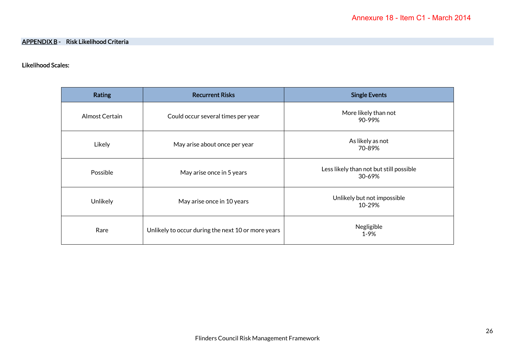# Likelihood Scales:

| <b>Rating</b>  | <b>Recurrent Risks</b>                             | <b>Single Events</b>                              |  |  |  |
|----------------|----------------------------------------------------|---------------------------------------------------|--|--|--|
| Almost Certain | Could occur several times per year                 | More likely than not<br>90-99%                    |  |  |  |
| Likely         | May arise about once per year                      | As likely as not<br>70-89%                        |  |  |  |
| Possible       | May arise once in 5 years                          | Less likely than not but still possible<br>30-69% |  |  |  |
| Unlikely       | May arise once in 10 years                         | Unlikely but not impossible<br>10-29%             |  |  |  |
| Rare           | Unlikely to occur during the next 10 or more years | Negligible<br>$1 - 9%$                            |  |  |  |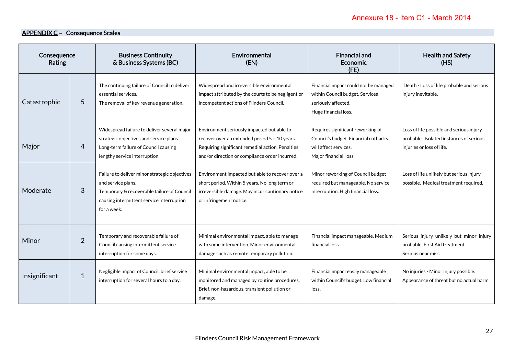# APPENDIX C - Consequence Scales

| Consequence<br>Rating |                | <b>Business Continuity</b><br>& Business Systems (BC)                                                                                                                         | Environmental<br>(EN)                                                                                                                                                                             | <b>Financial and</b><br><b>Economic</b><br>(FE)                                                                            | <b>Health and Safety</b><br>(HS)                                                                                 |  |
|-----------------------|----------------|-------------------------------------------------------------------------------------------------------------------------------------------------------------------------------|---------------------------------------------------------------------------------------------------------------------------------------------------------------------------------------------------|----------------------------------------------------------------------------------------------------------------------------|------------------------------------------------------------------------------------------------------------------|--|
| Catastrophic          | 5              | The continuing failure of Council to deliver<br>essential services.<br>The removal of key revenue generation.                                                                 | Widespread and irreversible environmental<br>impact attributed by the courts to be negligent or<br>incompetent actions of Flinders Council.                                                       | Financial impact could not be managed<br>within Council budget. Services<br>seriously affected.<br>Huge financial loss.    | Death - Loss of life probable and serious<br>injury inevitable.                                                  |  |
| Major                 | 4              | Widespread failure to deliver several major<br>strategic objectives and service plans.<br>Long-term failure of Council causing<br>lengthy service interruption.               | Environment seriously impacted but able to<br>recover over an extended period 5 - 10 years.<br>Requiring significant remedial action. Penalties<br>and/or direction or compliance order incurred. | Requires significant reworking of<br>Council's budget. Financial cutbacks<br>will affect services.<br>Major financial loss | Loss of life possible and serious injury<br>probable. Isolated instances of serious<br>injuries or loss of life. |  |
| Moderate              | 3              | Failure to deliver minor strategic objectives<br>and service plans.<br>Temporary & recoverable failure of Council<br>causing intermittent service interruption<br>for a week. | Environment impacted but able to recover over a<br>short period. Within 5 years. No long term or<br>irreversible damage. May incur cautionary notice<br>or infringement notice.                   | Minor reworking of Council budget<br>required but manageable. No service<br>interruption. High financial loss.             | Loss of life unlikely but serious injury<br>possible. Medical treatment required.                                |  |
| Minor                 | $\overline{2}$ | Temporary and recoverable failure of<br>Council causing intermittent service<br>interruption for some days.                                                                   | Minimal environmental impact, able to manage<br>with some intervention. Minor environmental<br>damage such as remote temporary pollution.                                                         | Financial impact manageable. Medium<br>financial loss.                                                                     | Serious injury unlikely but minor injury<br>probable. First Aid treatment.<br>Serious near miss.                 |  |
| Insignificant         | $\mathbf{1}$   | Negligible impact of Council, brief service<br>interruption for several hours to a day.                                                                                       | Minimal environmental impact, able to be<br>monitored and managed by routine procedures.<br>Brief, non-hazardous, transient pollution or<br>damage.                                               | Financial impact easily manageable<br>within Council's budget. Low financial<br>loss.                                      | No injuries - Minor injury possible.<br>Appearance of threat but no actual harm.                                 |  |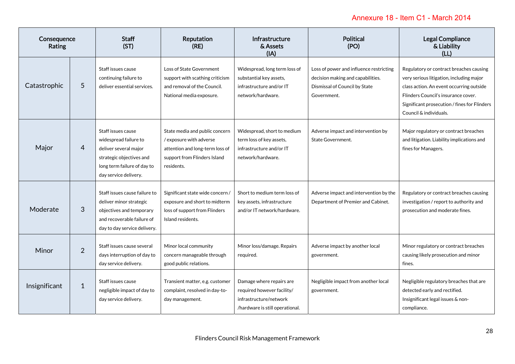# Annexure 18 - Item C1 - March 2014

| Consequence<br>Rating |                | <b>Staff</b><br>(ST)                                                                                                                                     | Reputation<br>(RE)                                                                                                                         | <b>Infrastructure</b><br>& Assets<br>(IA)                                                                           | <b>Political</b><br>(PO)                                                                                                     | <b>Legal Compliance</b><br>& Liability<br>(LL)                                                                                                                                                                                                   |
|-----------------------|----------------|----------------------------------------------------------------------------------------------------------------------------------------------------------|--------------------------------------------------------------------------------------------------------------------------------------------|---------------------------------------------------------------------------------------------------------------------|------------------------------------------------------------------------------------------------------------------------------|--------------------------------------------------------------------------------------------------------------------------------------------------------------------------------------------------------------------------------------------------|
| Catastrophic          | 5              | Staff issues cause<br>continuing failure to<br>deliver essential services.                                                                               | Loss of State Government<br>support with scathing criticism<br>and removal of the Council.<br>National media exposure.                     | Widespread, long term loss of<br>substantial key assets,<br>infrastructure and/or IT<br>network/hardware.           | Loss of power and influence restricting<br>decision making and capabilities.<br>Dismissal of Council by State<br>Government. | Regulatory or contract breaches causing<br>very serious litigation, including major<br>class action. An event occurring outside<br>Flinders Council's insurance cover.<br>Significant prosecution / fines for Flinders<br>Council & individuals. |
| Major                 | 4              | Staff issues cause<br>widespread failure to<br>deliver several major<br>strategic objectives and<br>long term failure of day to<br>day service delivery. | State media and public concern<br>/ exposure with adverse<br>attention and long-term loss of<br>support from Flinders Island<br>residents. | Widespread, short to medium<br>term loss of key assets,<br>infrastructure and/or IT<br>network/hardware.            | Adverse impact and intervention by<br><b>State Government.</b>                                                               | Major regulatory or contract breaches<br>and litigation. Liability implications and<br>fines for Managers.                                                                                                                                       |
| Moderate              | 3              | Staff issues cause failure to<br>deliver minor strategic<br>objectives and temporary<br>and recoverable failure of<br>day to day service delivery.       | Significant state wide concern /<br>exposure and short to midterm<br>loss of support from Flinders<br>Island residents.                    | Short to medium term loss of<br>key assets, infrastructure<br>and/or IT network/hardware.                           | Adverse impact and intervention by the<br>Department of Premier and Cabinet.                                                 | Regulatory or contract breaches causing<br>investigation / report to authority and<br>prosecution and moderate fines.                                                                                                                            |
| Minor                 | $\overline{2}$ | Staff issues cause several<br>days interruption of day to<br>day service delivery.                                                                       | Minor local community<br>concern manageable through<br>good public relations.                                                              | Minor loss/damage. Repairs<br>required.                                                                             | Adverse impact by another local<br>government.                                                                               | Minor regulatory or contract breaches<br>causing likely prosecution and minor<br>fines.                                                                                                                                                          |
| Insignificant         | $\mathbf{1}$   | Staff issues cause<br>negligible impact of day to<br>day service delivery.                                                                               | Transient matter, e.g. customer<br>complaint, resolved in day-to-<br>day management.                                                       | Damage where repairs are<br>required however facility/<br>infrastructure/network<br>/hardware is still operational. | Negligible impact from another local<br>government.                                                                          | Negligible regulatory breaches that are<br>detected early and rectified.<br>Insignificant legal issues & non-<br>compliance.                                                                                                                     |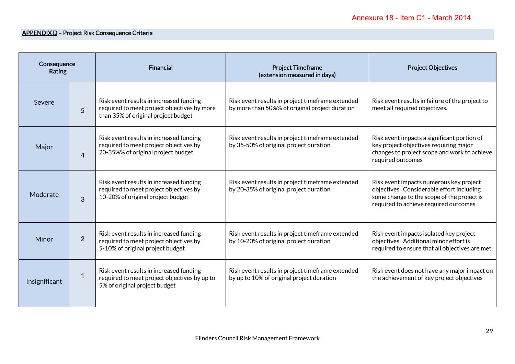# APPENDIX D – Project Risk Consequence Criteria

| Consequence<br><b>Rating</b> |                | <b>Financial</b>                                                                                                              | <b>Project Timeframe</b><br>(extension measured in days)                                           | <b>Project Objectives</b>                                                                                                                                                   |  |
|------------------------------|----------------|-------------------------------------------------------------------------------------------------------------------------------|----------------------------------------------------------------------------------------------------|-----------------------------------------------------------------------------------------------------------------------------------------------------------------------------|--|
| Severe                       | 5              | Risk event results in increased funding<br>required to meet project objectives by more<br>than 35% of original project budget | Risk event results in project timeframe extended<br>by more than 50%% of original project duration | Risk event results in failure of the project to<br>meet all required objectives.                                                                                            |  |
| Major                        | $\overline{4}$ | Risk event results in increased funding<br>required to meet project objectives by<br>20-35%% of original project budget       | Risk event results in project timeframe extended<br>by 35-50% of original project duration         | Risk event impacts a significant portion of<br>key project objectives requiring major<br>changes to project scope and work to achieve<br>required outcomes                  |  |
| Moderate                     | 3              | Risk event results in increased funding<br>required to meet project objectives by<br>10-20% of original project budget        | Risk event results in project timeframe extended<br>by 20-35% of original project duration         | Risk event impacts numerous key project<br>objectives. Considerable effort including<br>some change to the scope of the project is<br>required to achieve required outcomes |  |
| Minor                        | $\overline{2}$ | Risk event results in increased funding<br>required to meet project objectives by<br>5-10% of original project budget         | Risk event results in project timeframe extended<br>by 10-20% of original project duration         | Risk event impacts isolated key project<br>objectives. Additional minor effort is<br>required to ensure that all objectives are met                                         |  |
| Insignificant                | $\mathbf{1}$   | Risk event results in increased funding<br>required to meet project objectives by up to<br>5% of original project budget      | Risk event results in project timeframe extended<br>by up to 10% of original project duration      | Risk event does not have any major impact on<br>the achievement of key project objectives                                                                                   |  |